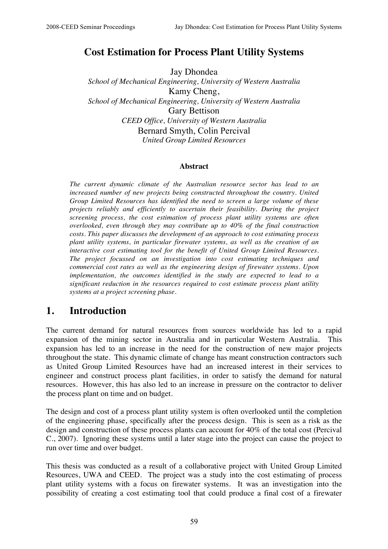## **Cost Estimation for Process Plant Utility Systems**

Jay Dhondea *School of Mechanical Engineering, University of Western Australia* Kamy Cheng, *School of Mechanical Engineering, University of Western Australia* Gary Bettison *CEED Office, University of Western Australia* Bernard Smyth, Colin Percival *United Group Limited Resources*

#### **Abstract**

*The current dynamic climate of the Australian resource sector has lead to an increased number of new projects being constructed throughout the country. United Group Limited Resources has identified the need to screen a large volume of these projects reliably and efficiently to ascertain their feasibility. During the project screening process, the cost estimation of process plant utility systems are often overlooked, even through they may contribute up to 40% of the final construction costs. This paper discusses the development of an approach to cost estimating process plant utility systems, in particular firewater systems, as well as the creation of an interactive cost estimating tool for the benefit of United Group Limited Resources. The project focussed on an investigation into cost estimating techniques and commercial cost rates as well as the engineering design of firewater systems. Upon implementation, the outcomes identified in the study are expected to lead to a significant reduction in the resources required to cost estimate process plant utility systems at a project screening phase.*

## **1. Introduction**

The current demand for natural resources from sources worldwide has led to a rapid expansion of the mining sector in Australia and in particular Western Australia. This expansion has led to an increase in the need for the construction of new major projects throughout the state. This dynamic climate of change has meant construction contractors such as United Group Limited Resources have had an increased interest in their services to engineer and construct process plant facilities, in order to satisfy the demand for natural resources. However, this has also led to an increase in pressure on the contractor to deliver the process plant on time and on budget.

The design and cost of a process plant utility system is often overlooked until the completion of the engineering phase, specifically after the process design. This is seen as a risk as the design and construction of these process plants can account for 40% of the total cost (Percival C., 2007). Ignoring these systems until a later stage into the project can cause the project to run over time and over budget.

This thesis was conducted as a result of a collaborative project with United Group Limited Resources, UWA and CEED. The project was a study into the cost estimating of process plant utility systems with a focus on firewater systems. It was an investigation into the possibility of creating a cost estimating tool that could produce a final cost of a firewater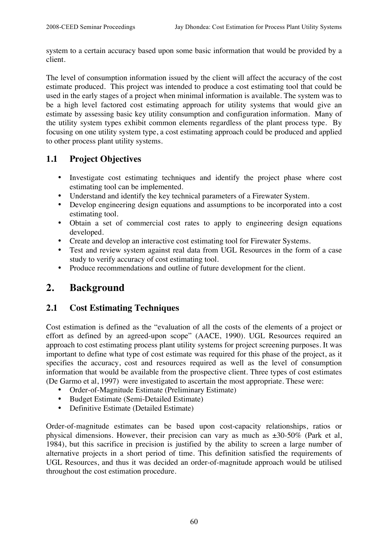system to a certain accuracy based upon some basic information that would be provided by a client.

The level of consumption information issued by the client will affect the accuracy of the cost estimate produced. This project was intended to produce a cost estimating tool that could be used in the early stages of a project when minimal information is available. The system was to be a high level factored cost estimating approach for utility systems that would give an estimate by assessing basic key utility consumption and configuration information. Many of the utility system types exhibit common elements regardless of the plant process type. By focusing on one utility system type, a cost estimating approach could be produced and applied to other process plant utility systems.

## **1.1 Project Objectives**

- Investigate cost estimating techniques and identify the project phase where cost estimating tool can be implemented.
- Understand and identify the key technical parameters of a Firewater System.
- Develop engineering design equations and assumptions to be incorporated into a cost estimating tool.
- Obtain a set of commercial cost rates to apply to engineering design equations developed.
- Create and develop an interactive cost estimating tool for Firewater Systems.
- Test and review system against real data from UGL Resources in the form of a case study to verify accuracy of cost estimating tool.
- Produce recommendations and outline of future development for the client.

## **2. Background**

## **2.1 Cost Estimating Techniques**

Cost estimation is defined as the "evaluation of all the costs of the elements of a project or effort as defined by an agreed-upon scope" (AACE, 1990). UGL Resources required an approach to cost estimating process plant utility systems for project screening purposes. It was important to define what type of cost estimate was required for this phase of the project, as it specifies the accuracy, cost and resources required as well as the level of consumption information that would be available from the prospective client. Three types of cost estimates (De Garmo et al, 1997) were investigated to ascertain the most appropriate. These were:

- Order-of-Magnitude Estimate (Preliminary Estimate)
- Budget Estimate (Semi-Detailed Estimate)
- Definitive Estimate (Detailed Estimate)

Order-of-magnitude estimates can be based upon cost-capacity relationships, ratios or physical dimensions. However, their precision can vary as much as  $\pm 30$ -50% (Park et al, 1984), but this sacrifice in precision is justified by the ability to screen a large number of alternative projects in a short period of time. This definition satisfied the requirements of UGL Resources, and thus it was decided an order-of-magnitude approach would be utilised throughout the cost estimation procedure.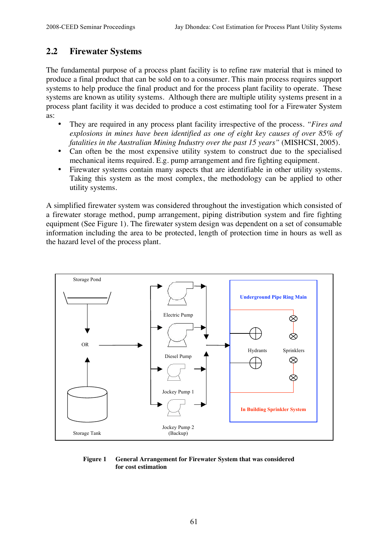## **2.2 Firewater Systems**

The fundamental purpose of a process plant facility is to refine raw material that is mined to produce a final product that can be sold on to a consumer. This main process requires support systems to help produce the final product and for the process plant facility to operate. These systems are known as utility systems. Although there are multiple utility systems present in a process plant facility it was decided to produce a cost estimating tool for a Firewater System as:

- They are required in any process plant facility irrespective of the process. *"Fires and explosions in mines have been identified as one of eight key causes of over 85% of fatalities in the Australian Mining Industry over the past 15 years"* (MISHCSI, 2005).
- Can often be the most expensive utility system to construct due to the specialised mechanical items required. E.g. pump arrangement and fire fighting equipment.
- Firewater systems contain many aspects that are identifiable in other utility systems. Taking this system as the most complex, the methodology can be applied to other utility systems.

A simplified firewater system was considered throughout the investigation which consisted of a firewater storage method, pump arrangement, piping distribution system and fire fighting equipment (See Figure 1). The firewater system design was dependent on a set of consumable information including the area to be protected, length of protection time in hours as well as the hazard level of the process plant.



#### **Figure 1 General Arrangement for Firewater System that was considered for cost estimation**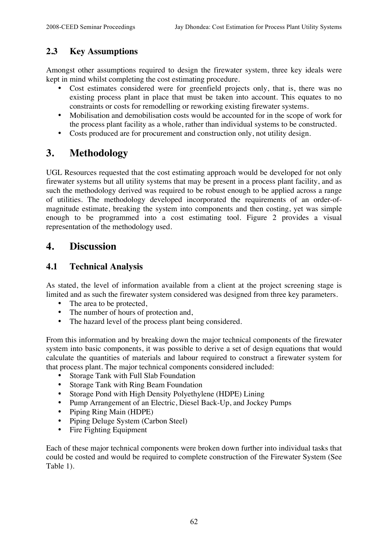## **2.3 Key Assumptions**

Amongst other assumptions required to design the firewater system, three key ideals were kept in mind whilst completing the cost estimating procedure.

- Cost estimates considered were for greenfield projects only, that is, there was no existing process plant in place that must be taken into account. This equates to no constraints or costs for remodelling or reworking existing firewater systems.
- Mobilisation and demobilisation costs would be accounted for in the scope of work for the process plant facility as a whole, rather than individual systems to be constructed.
- Costs produced are for procurement and construction only, not utility design.

# **3. Methodology**

UGL Resources requested that the cost estimating approach would be developed for not only firewater systems but all utility systems that may be present in a process plant facility, and as such the methodology derived was required to be robust enough to be applied across a range of utilities. The methodology developed incorporated the requirements of an order-ofmagnitude estimate, breaking the system into components and then costing, yet was simple enough to be programmed into a cost estimating tool. Figure 2 provides a visual representation of the methodology used.

## **4. Discussion**

### **4.1 Technical Analysis**

As stated, the level of information available from a client at the project screening stage is limited and as such the firewater system considered was designed from three key parameters.

- The area to be protected,
- The number of hours of protection and,
- The hazard level of the process plant being considered.

From this information and by breaking down the major technical components of the firewater system into basic components, it was possible to derive a set of design equations that would calculate the quantities of materials and labour required to construct a firewater system for that process plant. The major technical components considered included:

- Storage Tank with Full Slab Foundation
- Storage Tank with Ring Beam Foundation
- Storage Pond with High Density Polyethylene (HDPE) Lining
- Pump Arrangement of an Electric, Diesel Back-Up, and Jockey Pumps
- Piping Ring Main (HDPE)
- Piping Deluge System (Carbon Steel)
- Fire Fighting Equipment

Each of these major technical components were broken down further into individual tasks that could be costed and would be required to complete construction of the Firewater System (See Table 1).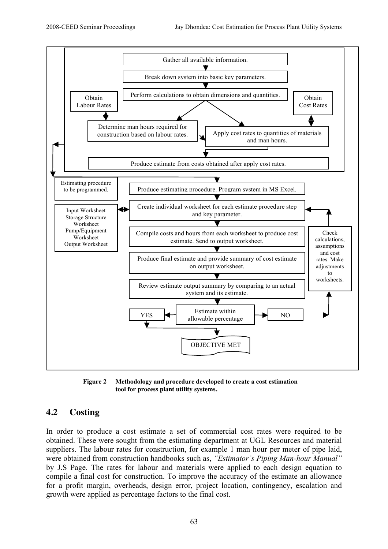

**Figure 2 Methodology and procedure developed to create a cost estimation tool for process plant utility systems.**

## **4.2 Costing**

In order to produce a cost estimate a set of commercial cost rates were required to be obtained. These were sought from the estimating department at UGL Resources and material suppliers. The labour rates for construction, for example 1 man hour per meter of pipe laid, were obtained from construction handbooks such as, *"Estimator's Piping Man-hour Manual"* by J.S Page. The rates for labour and materials were applied to each design equation to compile a final cost for construction. To improve the accuracy of the estimate an allowance for a profit margin, overheads, design error, project location, contingency, escalation and growth were applied as percentage factors to the final cost.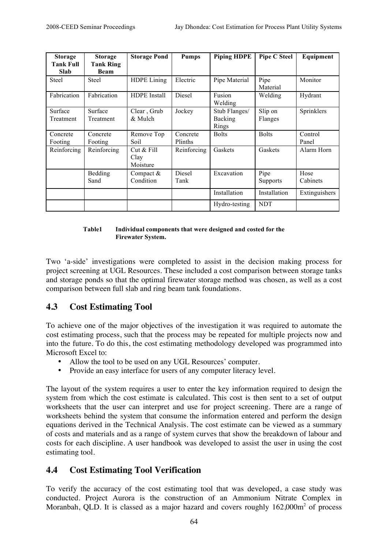| <b>Storage</b><br><b>Tank Full</b><br><b>Slab</b> | <b>Storage</b><br><b>Tank Ring</b><br><b>Beam</b> | <b>Storage Pond</b>              | <b>Pumps</b>          | <b>Piping HDPE</b>                | <b>Pipe C Steel</b>     | Equipment        |
|---------------------------------------------------|---------------------------------------------------|----------------------------------|-----------------------|-----------------------------------|-------------------------|------------------|
| <b>Steel</b>                                      | Steel                                             | <b>HDPE</b> Lining               | Electric              | Pipe Material                     | Pipe<br>Material        | Monitor          |
| Fabrication                                       | Fabrication                                       | <b>HDPE</b> Install              | <b>Diesel</b>         | Fusion<br>Welding                 | Welding                 | Hydrant          |
| Surface<br>Treatment                              | Surface<br>Treatment                              | Clear, Grub<br>& Mulch           | Jockey                | Stub Flanges/<br>Backing<br>Rings | Slip on<br>Flanges      | Sprinklers       |
| Concrete<br>Footing                               | Concrete<br>Footing                               | Remove Top<br>Soil               | Concrete<br>Plinths   | <b>Bolts</b>                      | <b>Bolts</b>            | Control<br>Panel |
| Reinforcing                                       | Reinforcing                                       | Cut $&$ Fill<br>Clay<br>Moisture | Reinforcing           | Gaskets                           | Gaskets                 | Alarm Horn       |
|                                                   | Bedding<br>Sand                                   | Compact $&$<br>Condition         | <b>Diesel</b><br>Tank | Excavation                        | Pipe<br><b>Supports</b> | Hose<br>Cabinets |
|                                                   |                                                   |                                  |                       | Installation                      | Installation            | Extinguishers    |
|                                                   |                                                   |                                  |                       | Hydro-testing                     | <b>NDT</b>              |                  |

#### **Table1 Individual components that were designed and costed for the Firewater System.**

Two 'a-side' investigations were completed to assist in the decision making process for project screening at UGL Resources. These included a cost comparison between storage tanks and storage ponds so that the optimal firewater storage method was chosen, as well as a cost comparison between full slab and ring beam tank foundations.

## **4.3 Cost Estimating Tool**

To achieve one of the major objectives of the investigation it was required to automate the cost estimating process, such that the process may be repeated for multiple projects now and into the future. To do this, the cost estimating methodology developed was programmed into Microsoft Excel to:

- Allow the tool to be used on any UGL Resources' computer.
- Provide an easy interface for users of any computer literacy level.

The layout of the system requires a user to enter the key information required to design the system from which the cost estimate is calculated. This cost is then sent to a set of output worksheets that the user can interpret and use for project screening. There are a range of worksheets behind the system that consume the information entered and perform the design equations derived in the Technical Analysis. The cost estimate can be viewed as a summary of costs and materials and as a range of system curves that show the breakdown of labour and costs for each discipline. A user handbook was developed to assist the user in using the cost estimating tool.

#### **4.4 Cost Estimating Tool Verification**

To verify the accuracy of the cost estimating tool that was developed, a case study was conducted. Project Aurora is the construction of an Ammonium Nitrate Complex in Moranbah, QLD. It is classed as a major hazard and covers roughly  $162,000m^2$  of process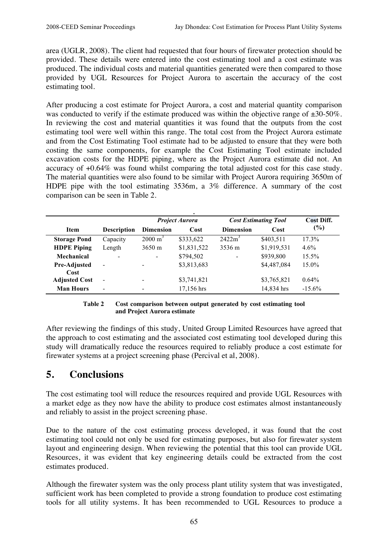area (UGLR, 2008). The client had requested that four hours of firewater protection should be provided. These details were entered into the cost estimating tool and a cost estimate was produced. The individual costs and material quantities generated were then compared to those provided by UGL Resources for Project Aurora to ascertain the accuracy of the cost estimating tool.

After producing a cost estimate for Project Aurora, a cost and material quantity comparison was conducted to verify if the estimate produced was within the objective range of  $\pm 30{\text -}50\%$ . In reviewing the cost and material quantities it was found that the outputs from the cost estimating tool were well within this range. The total cost from the Project Aurora estimate and from the Cost Estimating Tool estimate had to be adjusted to ensure that they were both costing the same components, for example the Cost Estimating Tool estimate included excavation costs for the HDPE piping, where as the Project Aurora estimate did not. An accuracy of +0.64% was found whilst comparing the total adjusted cost for this case study. The material quantities were also found to be similar with Project Aurora requiring 3650m of HDPE pipe with the tool estimating 3536m, a 3% difference. A summary of the cost comparison can be seen in Table 2.

| <b>Item</b>          | <b>Description</b>       | <b>Project Aurora</b> |             | <b>Cost Estimating Tool</b> |             | <b>Cost Diff.</b> |
|----------------------|--------------------------|-----------------------|-------------|-----------------------------|-------------|-------------------|
|                      |                          | <b>Dimension</b>      | Cost        | <b>Dimension</b>            | Cost        | (%)               |
| <b>Storage Pond</b>  | Capacity                 | $2000 \text{ m}^3$    | \$333,622   | 2422m <sup>3</sup>          | \$403,511   | 17.3%             |
| <b>HDPE</b> Piping   | Length                   | $3650 \text{ m}$      | \$1,831,522 | 3536 m                      | \$1,919,531 | $4.6\%$           |
| Mechanical           | $\overline{\phantom{a}}$ | $\blacksquare$        | \$794,502   | $\blacksquare$              | \$939,800   | 15.5%             |
| Pre-Adjusted<br>Cost | $\overline{\phantom{a}}$ |                       | \$3,813,683 |                             | \$4,487,084 | 15.0%             |
| <b>Adjusted Cost</b> | $\blacksquare$           |                       | \$3,741,821 |                             | \$3,765,821 | $0.64\%$          |
| <b>Man Hours</b>     | $\overline{\phantom{a}}$ |                       | 17,156 hrs  |                             | 14,834 hrs  | $-15.6\%$         |

#### **Table 2 Cost comparison between output generated by cost estimating tool and Project Aurora estimate**

After reviewing the findings of this study, United Group Limited Resources have agreed that the approach to cost estimating and the associated cost estimating tool developed during this study will dramatically reduce the resources required to reliably produce a cost estimate for firewater systems at a project screening phase (Percival et al, 2008).

# **5. Conclusions**

The cost estimating tool will reduce the resources required and provide UGL Resources with a market edge as they now have the ability to produce cost estimates almost instantaneously and reliably to assist in the project screening phase.

Due to the nature of the cost estimating process developed, it was found that the cost estimating tool could not only be used for estimating purposes, but also for firewater system layout and engineering design. When reviewing the potential that this tool can provide UGL Resources, it was evident that key engineering details could be extracted from the cost estimates produced.

Although the firewater system was the only process plant utility system that was investigated, sufficient work has been completed to provide a strong foundation to produce cost estimating tools for all utility systems. It has been recommended to UGL Resources to produce a